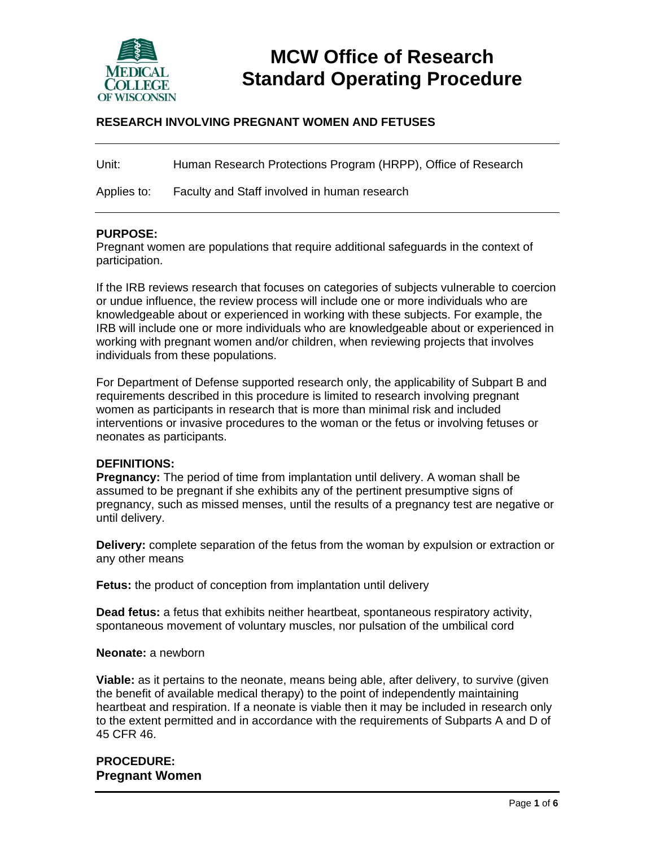

# **MCW Office of Research Standard Operating Procedure**

## **RESEARCH INVOLVING PREGNANT WOMEN AND FETUSES**

Unit: Human Research Protections Program (HRPP), Office of Research

Applies to: Faculty and Staff involved in human research

#### **PURPOSE:**

Pregnant women are populations that require additional safeguards in the context of participation.

If the IRB reviews research that focuses on categories of subjects vulnerable to coercion or undue influence, the review process will include one or more individuals who are knowledgeable about or experienced in working with these subjects. For example, the IRB will include one or more individuals who are knowledgeable about or experienced in working with pregnant women and/or children, when reviewing projects that involves individuals from these populations.

For Department of Defense supported research only, the applicability of Subpart B and requirements described in this procedure is limited to research involving pregnant women as participants in research that is more than minimal risk and included interventions or invasive procedures to the woman or the fetus or involving fetuses or neonates as participants.

#### **DEFINITIONS:**

**Pregnancy:** The period of time from implantation until delivery. A woman shall be assumed to be pregnant if she exhibits any of the pertinent presumptive signs of pregnancy, such as missed menses, until the results of a pregnancy test are negative or until delivery.

**Delivery:** complete separation of the fetus from the woman by expulsion or extraction or any other means

**Fetus:** the product of conception from implantation until delivery

**Dead fetus:** a fetus that exhibits neither heartbeat, spontaneous respiratory activity, spontaneous movement of voluntary muscles, nor pulsation of the umbilical cord

#### **Neonate:** a newborn

**Viable:** as it pertains to the neonate, means being able, after delivery, to survive (given the benefit of available medical therapy) to the point of independently maintaining heartbeat and respiration. If a neonate is viable then it may be included in research only to the extent permitted and in accordance with the requirements of Subparts A and D of 45 CFR 46.

## **PROCEDURE: Pregnant Women**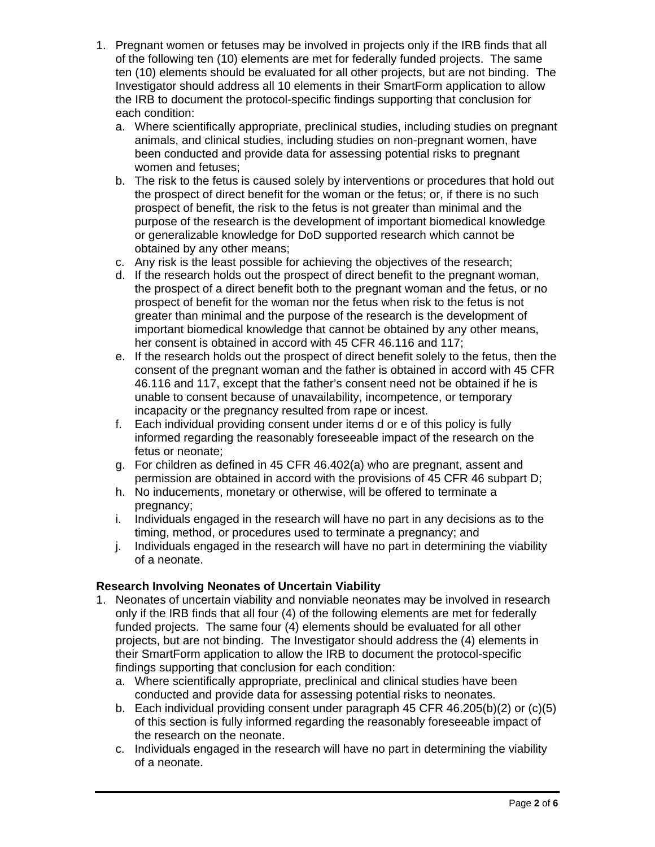- 1. Pregnant women or fetuses may be involved in projects only if the IRB finds that all of the following ten (10) elements are met for federally funded projects. The same ten (10) elements should be evaluated for all other projects, but are not binding. The Investigator should address all 10 elements in their SmartForm application to allow the IRB to document the protocol-specific findings supporting that conclusion for each condition:
	- a. Where scientifically appropriate, preclinical studies, including studies on pregnant animals, and clinical studies, including studies on non-pregnant women, have been conducted and provide data for assessing potential risks to pregnant women and fetuses;
	- b. The risk to the fetus is caused solely by interventions or procedures that hold out the prospect of direct benefit for the woman or the fetus; or, if there is no such prospect of benefit, the risk to the fetus is not greater than minimal and the purpose of the research is the development of important biomedical knowledge or generalizable knowledge for DoD supported research which cannot be obtained by any other means;
	- c. Any risk is the least possible for achieving the objectives of the research;
	- d. If the research holds out the prospect of direct benefit to the pregnant woman, the prospect of a direct benefit both to the pregnant woman and the fetus, or no prospect of benefit for the woman nor the fetus when risk to the fetus is not greater than minimal and the purpose of the research is the development of important biomedical knowledge that cannot be obtained by any other means, her consent is obtained in accord with 45 CFR 46.116 and 117:
	- e. If the research holds out the prospect of direct benefit solely to the fetus, then the consent of the pregnant woman and the father is obtained in accord with 45 CFR 46.116 and 117, except that the father's consent need not be obtained if he is unable to consent because of unavailability, incompetence, or temporary incapacity or the pregnancy resulted from rape or incest.
	- f. Each individual providing consent under items d or e of this policy is fully informed regarding the reasonably foreseeable impact of the research on the fetus or neonate;
	- g. For children as defined in 45 CFR 46.402(a) who are pregnant, assent and permission are obtained in accord with the provisions of 45 CFR 46 subpart D;
	- h. No inducements, monetary or otherwise, will be offered to terminate a pregnancy;
	- i. Individuals engaged in the research will have no part in any decisions as to the timing, method, or procedures used to terminate a pregnancy; and
	- j. Individuals engaged in the research will have no part in determining the viability of a neonate.

# **Research Involving Neonates of Uncertain Viability**

- 1. Neonates of uncertain viability and nonviable neonates may be involved in research only if the IRB finds that all four (4) of the following elements are met for federally funded projects. The same four (4) elements should be evaluated for all other projects, but are not binding. The Investigator should address the (4) elements in their SmartForm application to allow the IRB to document the protocol-specific findings supporting that conclusion for each condition:
	- a. Where scientifically appropriate, preclinical and clinical studies have been conducted and provide data for assessing potential risks to neonates.
	- b. Each individual providing consent under paragraph 45 CFR 46.205(b)(2) or (c)(5) of this section is fully informed regarding the reasonably foreseeable impact of the research on the neonate.
	- c. Individuals engaged in the research will have no part in determining the viability of a neonate.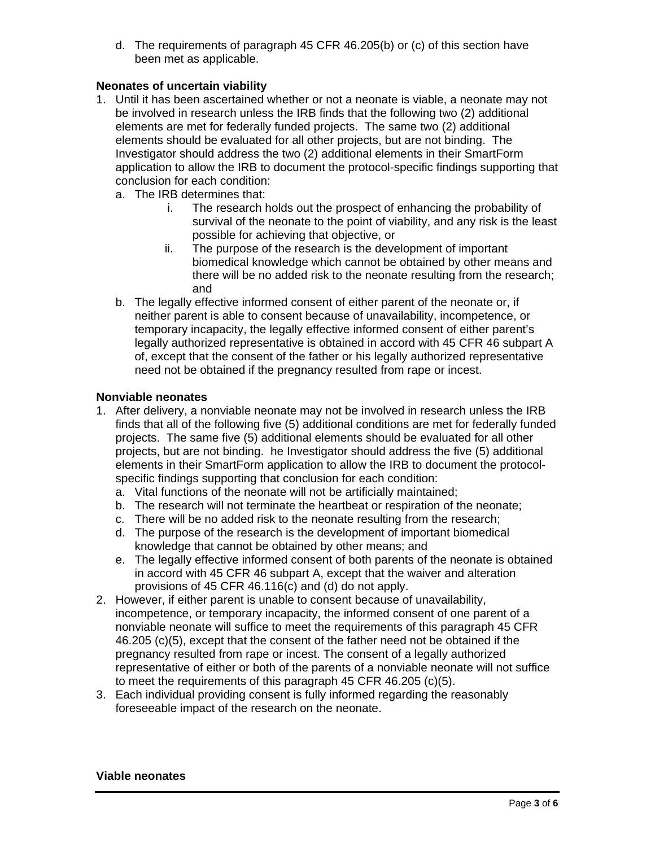d. The requirements of paragraph 45 CFR 46.205(b) or (c) of this section have been met as applicable.

## **Neonates of uncertain viability**

- 1. Until it has been ascertained whether or not a neonate is viable, a neonate may not be involved in research unless the IRB finds that the following two (2) additional elements are met for federally funded projects. The same two (2) additional elements should be evaluated for all other projects, but are not binding. The Investigator should address the two (2) additional elements in their SmartForm application to allow the IRB to document the protocol-specific findings supporting that conclusion for each condition:
	- a. The IRB determines that:
		- i. The research holds out the prospect of enhancing the probability of survival of the neonate to the point of viability, and any risk is the least possible for achieving that objective, or
		- ii. The purpose of the research is the development of important biomedical knowledge which cannot be obtained by other means and there will be no added risk to the neonate resulting from the research; and
	- b. The legally effective informed consent of either parent of the neonate or, if neither parent is able to consent because of unavailability, incompetence, or temporary incapacity, the legally effective informed consent of either parent's legally authorized representative is obtained in accord with 45 CFR 46 subpart A of, except that the consent of the father or his legally authorized representative need not be obtained if the pregnancy resulted from rape or incest.

## **Nonviable neonates**

- 1. After delivery, a nonviable neonate may not be involved in research unless the IRB finds that all of the following five (5) additional conditions are met for federally funded projects. The same five (5) additional elements should be evaluated for all other projects, but are not binding. he Investigator should address the five (5) additional elements in their SmartForm application to allow the IRB to document the protocolspecific findings supporting that conclusion for each condition:
	- a. Vital functions of the neonate will not be artificially maintained;
	- b. The research will not terminate the heartbeat or respiration of the neonate;
	- c. There will be no added risk to the neonate resulting from the research;
	- d. The purpose of the research is the development of important biomedical knowledge that cannot be obtained by other means; and
	- e. The legally effective informed consent of both parents of the neonate is obtained in accord with 45 CFR 46 subpart A, except that the waiver and alteration provisions of 45 CFR 46.116(c) and (d) do not apply.
- 2. However, if either parent is unable to consent because of unavailability, incompetence, or temporary incapacity, the informed consent of one parent of a nonviable neonate will suffice to meet the requirements of this paragraph 45 CFR 46.205 (c)(5), except that the consent of the father need not be obtained if the pregnancy resulted from rape or incest. The consent of a legally authorized representative of either or both of the parents of a nonviable neonate will not suffice to meet the requirements of this paragraph 45 CFR 46.205 (c)(5).
- 3. Each individual providing consent is fully informed regarding the reasonably foreseeable impact of the research on the neonate.

#### **Viable neonates**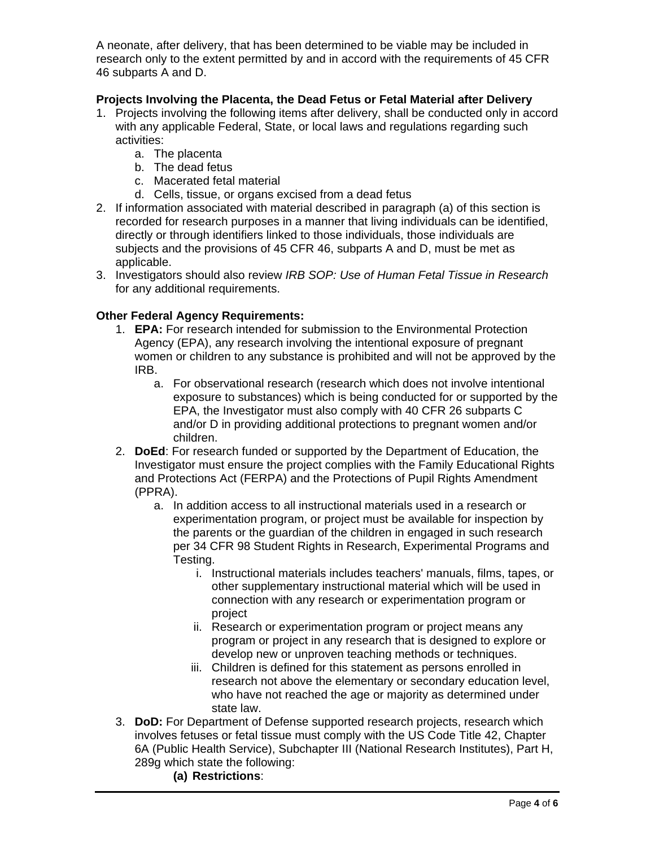A neonate, after delivery, that has been determined to be viable may be included in research only to the extent permitted by and in accord with the requirements of 45 CFR 46 subparts A and D.

# **Projects Involving the Placenta, the Dead Fetus or Fetal Material after Delivery**

- 1. Projects involving the following items after delivery, shall be conducted only in accord with any applicable Federal, State, or local laws and regulations regarding such activities:
	- a. The placenta
	- b. The dead fetus
	- c. Macerated fetal material
	- d. Cells, tissue, or organs excised from a dead fetus
- 2. If information associated with material described in paragraph (a) of this section is recorded for research purposes in a manner that living individuals can be identified, directly or through identifiers linked to those individuals, those individuals are subjects and the provisions of 45 CFR 46, subparts A and D, must be met as applicable.
- 3. Investigators should also review *IRB SOP: Use of Human Fetal Tissue in Research* for any additional requirements.

## **Other Federal Agency Requirements:**

- 1. **EPA:** For research intended for submission to the Environmental Protection Agency (EPA), any research involving the intentional exposure of pregnant women or children to any substance is prohibited and will not be approved by the IRB.
	- a. For observational research (research which does not involve intentional exposure to substances) which is being conducted for or supported by the EPA, the Investigator must also comply with 40 CFR 26 subparts C and/or D in providing additional protections to pregnant women and/or children.
- 2. **DoEd**: For research funded or supported by the Department of Education, the Investigator must ensure the project complies with the Family Educational Rights and Protections Act (FERPA) and the Protections of Pupil Rights Amendment (PPRA).
	- a. In addition access to all instructional materials used in a research or experimentation program, or project must be available for inspection by the parents or the guardian of the children in engaged in such research per 34 CFR 98 Student Rights in Research, Experimental Programs and Testing.
		- i. Instructional materials includes teachers' manuals, films, tapes, or other supplementary instructional material which will be used in connection with any research or experimentation program or project
		- ii. Research or experimentation program or project means any program or project in any research that is designed to explore or develop new or unproven teaching methods or techniques.
		- iii. Children is defined for this statement as persons enrolled in research not above the elementary or secondary education level, who have not reached the age or majority as determined under state law.
- 3. **DoD:** For Department of Defense supported research projects, research which involves fetuses or fetal tissue must comply with the US Code Title 42, Chapter 6A (Public Health Service), Subchapter III (National Research Institutes), Part H, 289g which state the following:
	- **(a) Restrictions**: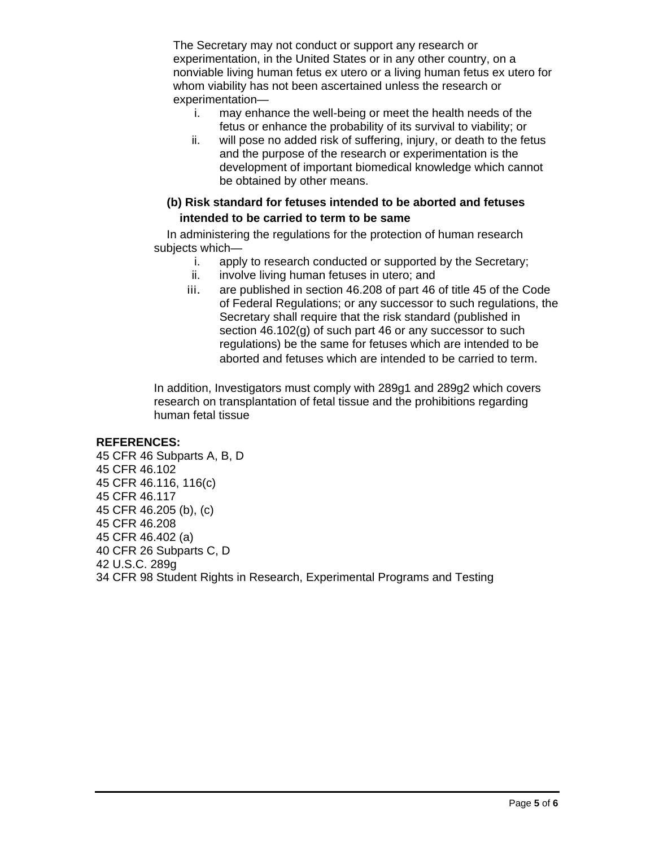The Secretary may not conduct or support any research or experimentation, in the United States or in any other country, on a nonviable living human fetus ex utero or a living human fetus ex utero for whom viability has not been ascertained unless the research or experimentation—

- i. may enhance the well-being or meet the health needs of the fetus or enhance the probability of its survival to viability; or
- ii. will pose no added risk of suffering, injury, or death to the fetus and the purpose of the research or experimentation is the development of important biomedical knowledge which cannot be obtained by other means.

# **(b) Risk standard for fetuses intended to be aborted and fetuses intended to be carried to term to be same**

In administering the regulations for the protection of human research subjects which—

- i. apply to research conducted or supported by the Secretary;
- ii. involve living human fetuses in utero; and
- iii. are published in section 46.208 of part 46 of title 45 of the Code of Federal Regulations; or any successor to such regulations, the Secretary shall require that the risk standard (published in section 46.102(g) of such part 46 or any successor to such regulations) be the same for fetuses which are intended to be aborted and fetuses which are intended to be carried to term.

In addition, Investigators must comply with 289g1 and 289g2 which covers research on transplantation of fetal tissue and the prohibitions regarding human fetal tissue

## **REFERENCES:**

45 CFR 46 Subparts A, B, D 45 CFR 46.102 45 CFR 46.116, 116(c) 45 CFR 46.117 45 CFR 46.205 (b), (c) 45 CFR 46.208 45 CFR 46.402 (a) 40 CFR 26 Subparts C, D 42 U.S.C. 289g 34 CFR 98 Student Rights in Research, Experimental Programs and Testing